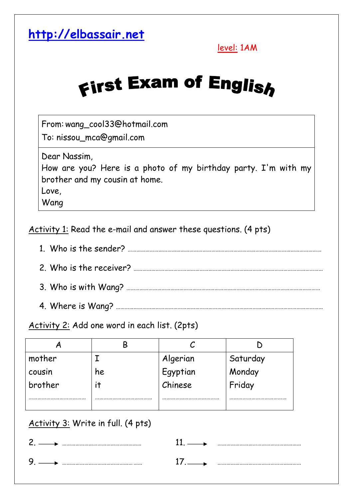

level: 1AM

## **First Exam of English**

From:wang\_cool33@hotmail.com

To: nissou\_mca@gmail.com

Dear Nassim,

How are you? Here is a photo of my birthday party. I'm with my brother and my cousin at home.

Love,

Wang

Activity 1: Read the e-mail and answer these questions. (4 pts)

- 1. Who is the sender? …………………………………………………………………………………………………………………… 2. Who is the receiver? ………………………………………………………………………………………………………………… 3. Who is with Wang? ……………………………………………………………………………………………………………………
- 4. Where is Wang? ……………………………………………………………………………………………………………………………

Activity 2: Add one word in each list. (2pts)

| mother  |    | Algerian | Saturday |
|---------|----|----------|----------|
| cousin  | he | Egyptian | Monday   |
| brother |    | Chinese  | Friday   |
|         |    |          |          |
|         |    |          |          |

## Activity 3: Write in full. (4 pts)

| ⌒ |  | . |
|---|--|---|
|   |  |   |